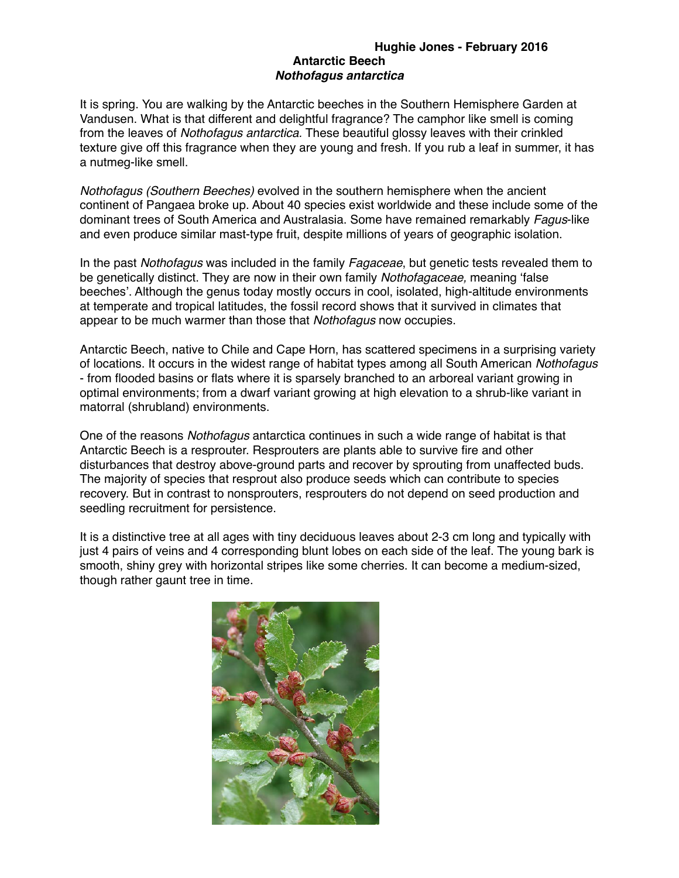## **Hughie Jones - February 2016 Antarctic Beech** *Nothofagus antarctica*

It is spring. You are walking by the Antarctic beeches in the Southern Hemisphere Garden at Vandusen. What is that different and delightful fragrance? The camphor like smell is coming from the leaves of *Nothofagus antarctica.* These beautiful glossy leaves with their crinkled texture give off this fragrance when they are young and fresh. If you rub a leaf in summer, it has a nutmeg-like smell.

*Nothofagus (Southern Beeches)* evolved in the southern hemisphere when the ancient continent of Pangaea broke up. About 40 species exist worldwide and these include some of the dominant trees of South America and Australasia. Some have remained remarkably *Fagus*-like and even produce similar mast-type fruit, despite millions of years of geographic isolation.

In the past *Nothofagus* was included in the family *Fagaceae*, but genetic tests revealed them to be genetically distinct. They are now in their own family *Nothofagaceae,* meaning 'false beeches'. Although the genus today mostly occurs in cool, isolated, high-altitude environments at temperate and tropical latitudes, the fossil record shows that it survived in climates that appear to be much warmer than those that *Nothofagus* now occupies.

Antarctic Beech, native to Chile and Cape Horn, has scattered specimens in a surprising variety of locations. It occurs in the widest range of habitat types among all South American *Nothofagus*  - from flooded basins or flats where it is sparsely branched to an arboreal variant growing in optimal environments; from a dwarf variant growing at high elevation to a shrub-like variant in matorral (shrubland) environments.

One of the reasons *Nothofagus* antarctica continues in such a wide range of habitat is that Antarctic Beech is a resprouter. Resprouters are plants able to survive fire and other disturbances that destroy above-ground parts and recover by sprouting from unaffected buds. The majority of species that resprout also produce seeds which can contribute to species recovery. But in contrast to nonsprouters, resprouters do not depend on seed production and seedling recruitment for persistence.

It is a distinctive tree at all ages with tiny deciduous leaves about 2-3 cm long and typically with just 4 pairs of veins and 4 corresponding blunt lobes on each side of the leaf. The young bark is smooth, shiny grey with horizontal stripes like some cherries. It can become a medium-sized, though rather gaunt tree in time.